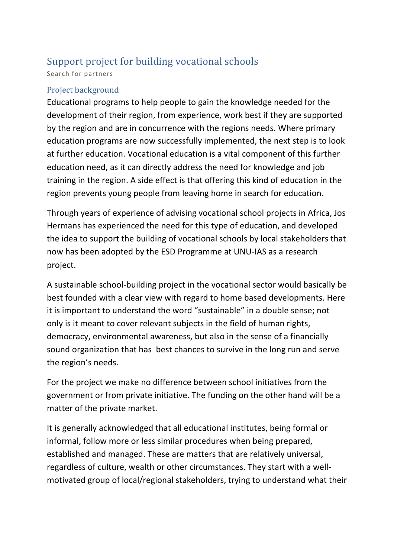## Support project for building vocational schools

Search for partners

## Project background

Educational programs to help people to gain the knowledge needed for the development of their region, from experience, work best if they are supported by the region and are in concurrence with the regions needs. Where primary education programs are now successfully implemented, the next step is to look at further education. Vocational education is a vital component of this further education need, as it can directly address the need for knowledge and job training in the region. A side effect is that offering this kind of education in the region prevents young people from leaving home in search for education.

Through years of experience of advising vocational school projects in Africa, Jos Hermans has experienced the need for this type of education, and developed the idea to support the building of vocational schools by local stakeholders that now has been adopted by the ESD Programme at UNU-IAS as a research project.

A sustainable school-building project in the vocational sector would basically be best founded with a clear view with regard to home based developments. Here it is important to understand the word "sustainable" in a double sense; not only is it meant to cover relevant subjects in the field of human rights, democracy, environmental awareness, but also in the sense of a financially sound organization that has best chances to survive in the long run and serve the region's needs.

For the project we make no difference between school initiatives from the government or from private initiative. The funding on the other hand will be a matter of the private market.

It is generally acknowledged that all educational institutes, being formal or informal, follow more or less similar procedures when being prepared, established and managed. These are matters that are relatively universal, regardless of culture, wealth or other circumstances. They start with a wellmotivated group of local/regional stakeholders, trying to understand what their